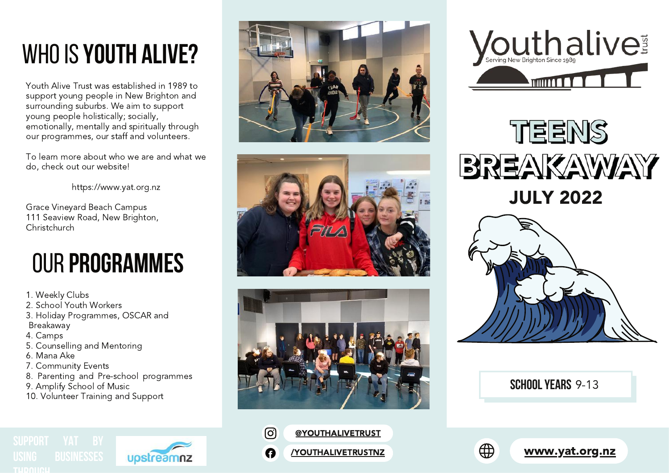# WHO IS YOUTH ALIVE?

Youth Alive Trust was established in 1989 to support young people in New Brighton and surrounding suburbs. We aim to support young people holistically; socially, emotionally, mentally and spiritually through our programmes, our staff and volunteers.

To learn more about who we are and wha t w e do, check out our website!

https://www.yat.org.nz

Grace Vineyard Beach Campus 1 1 1 S e a vie w R o a d , N e w B rig h t o n , Christchurch

# **0UR PROGRAMMES**

- 1. Weekly Clubs
- 2. School Youth Workers
- 3. Holiday Programmes, OSCAR and
- B r e a k a w a y
- 4. C a m p s
- 5. Counselling and Mentoring
- 6. Mana Ake
- 7. Community Events
- 8. Parenting and Pre-school programmes

upstreamnz

- 9. Amplify School of Music
- 10. Volunteer Training and Support













#### **SCHOOL YEARS** 9-13

⊕